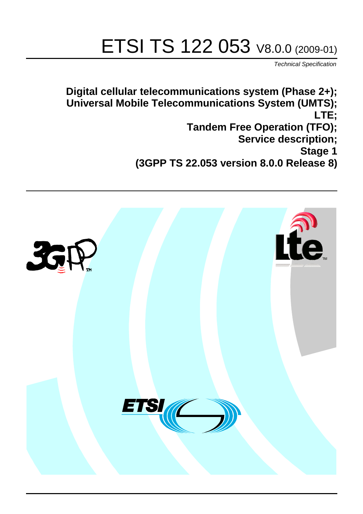# ETSI TS 122 053 V8.0.0 (2009-01)

*Technical Specification*

**Digital cellular telecommunications system (Phase 2+); Universal Mobile Telecommunications System (UMTS); LTE; Tandem Free Operation (TFO); Service description; Stage 1 (3GPP TS 22.053 version 8.0.0 Release 8)**

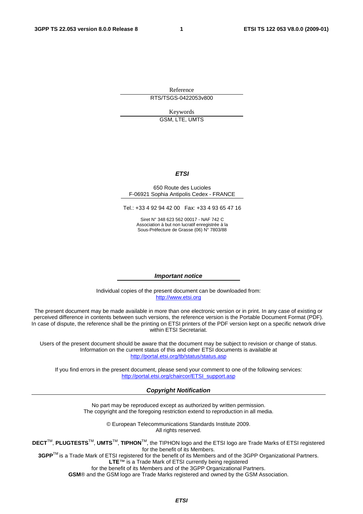Reference RTS/TSGS-0422053v800

> Keywords GSM, LTE, UMTS

> > *ETSI*

#### 650 Route des Lucioles F-06921 Sophia Antipolis Cedex - FRANCE

Tel.: +33 4 92 94 42 00 Fax: +33 4 93 65 47 16

Siret N° 348 623 562 00017 - NAF 742 C Association à but non lucratif enregistrée à la Sous-Préfecture de Grasse (06) N° 7803/88

#### *Important notice*

Individual copies of the present document can be downloaded from: [http://www.etsi.org](http://www.etsi.org/)

The present document may be made available in more than one electronic version or in print. In any case of existing or perceived difference in contents between such versions, the reference version is the Portable Document Format (PDF). In case of dispute, the reference shall be the printing on ETSI printers of the PDF version kept on a specific network drive within ETSI Secretariat.

Users of the present document should be aware that the document may be subject to revision or change of status. Information on the current status of this and other ETSI documents is available at <http://portal.etsi.org/tb/status/status.asp>

If you find errors in the present document, please send your comment to one of the following services: [http://portal.etsi.org/chaircor/ETSI\\_support.asp](http://portal.etsi.org/chaircor/ETSI_support.asp)

#### *Copyright Notification*

No part may be reproduced except as authorized by written permission. The copyright and the foregoing restriction extend to reproduction in all media.

> © European Telecommunications Standards Institute 2009. All rights reserved.

**DECT**TM, **PLUGTESTS**TM, **UMTS**TM, **TIPHON**TM, the TIPHON logo and the ETSI logo are Trade Marks of ETSI registered for the benefit of its Members.

**3GPP**TM is a Trade Mark of ETSI registered for the benefit of its Members and of the 3GPP Organizational Partners. **LTE**™ is a Trade Mark of ETSI currently being registered

for the benefit of its Members and of the 3GPP Organizational Partners.

**GSM**® and the GSM logo are Trade Marks registered and owned by the GSM Association.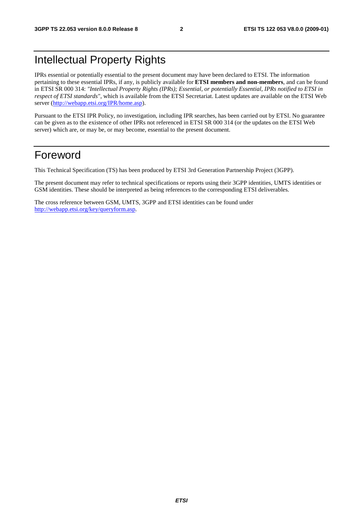### Intellectual Property Rights

IPRs essential or potentially essential to the present document may have been declared to ETSI. The information pertaining to these essential IPRs, if any, is publicly available for **ETSI members and non-members**, and can be found in ETSI SR 000 314: *"Intellectual Property Rights (IPRs); Essential, or potentially Essential, IPRs notified to ETSI in respect of ETSI standards"*, which is available from the ETSI Secretariat. Latest updates are available on the ETSI Web server [\(http://webapp.etsi.org/IPR/home.asp\)](http://webapp.etsi.org/IPR/home.asp).

Pursuant to the ETSI IPR Policy, no investigation, including IPR searches, has been carried out by ETSI. No guarantee can be given as to the existence of other IPRs not referenced in ETSI SR 000 314 (or the updates on the ETSI Web server) which are, or may be, or may become, essential to the present document.

### Foreword

This Technical Specification (TS) has been produced by ETSI 3rd Generation Partnership Project (3GPP).

The present document may refer to technical specifications or reports using their 3GPP identities, UMTS identities or GSM identities. These should be interpreted as being references to the corresponding ETSI deliverables.

The cross reference between GSM, UMTS, 3GPP and ETSI identities can be found under [http://webapp.etsi.org/key/queryform.asp.](http://webapp.etsi.org/key/queryform.asp)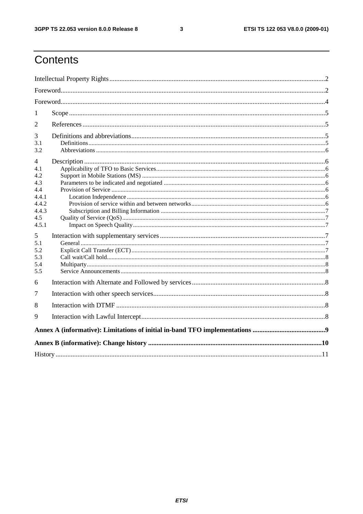$\mathbf{3}$ 

# Contents

| 1          |  |  |  |  |  |  |
|------------|--|--|--|--|--|--|
| 2          |  |  |  |  |  |  |
| 3          |  |  |  |  |  |  |
| 3.1<br>3.2 |  |  |  |  |  |  |
| 4          |  |  |  |  |  |  |
| 4.1        |  |  |  |  |  |  |
| 4.2        |  |  |  |  |  |  |
| 4.3<br>4.4 |  |  |  |  |  |  |
| 4.4.1      |  |  |  |  |  |  |
| 4.4.2      |  |  |  |  |  |  |
| 4.4.3      |  |  |  |  |  |  |
| 4.5        |  |  |  |  |  |  |
| 4.5.1      |  |  |  |  |  |  |
| 5          |  |  |  |  |  |  |
| 5.1        |  |  |  |  |  |  |
| 5.2        |  |  |  |  |  |  |
| 5.3        |  |  |  |  |  |  |
| 5.4        |  |  |  |  |  |  |
| 5.5        |  |  |  |  |  |  |
| 6          |  |  |  |  |  |  |
| 7          |  |  |  |  |  |  |
| 8          |  |  |  |  |  |  |
| 9          |  |  |  |  |  |  |
|            |  |  |  |  |  |  |
|            |  |  |  |  |  |  |
|            |  |  |  |  |  |  |
|            |  |  |  |  |  |  |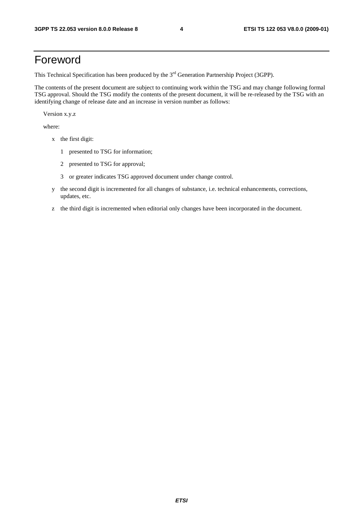### Foreword

This Technical Specification has been produced by the 3<sup>rd</sup> Generation Partnership Project (3GPP).

The contents of the present document are subject to continuing work within the TSG and may change following formal TSG approval. Should the TSG modify the contents of the present document, it will be re-released by the TSG with an identifying change of release date and an increase in version number as follows:

Version x.y.z

where:

- x the first digit:
	- 1 presented to TSG for information;
	- 2 presented to TSG for approval;
	- 3 or greater indicates TSG approved document under change control.
- y the second digit is incremented for all changes of substance, i.e. technical enhancements, corrections, updates, etc.
- z the third digit is incremented when editorial only changes have been incorporated in the document.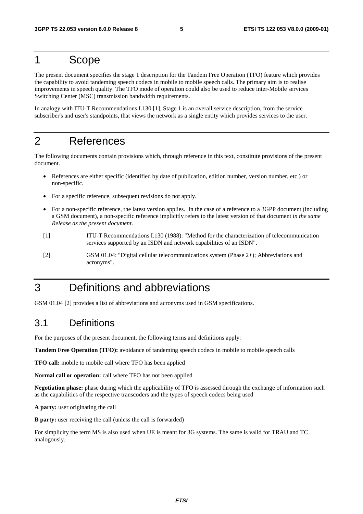### 1 Scope

The present document specifies the stage 1 description for the Tandem Free Operation (TFO) feature which provides the capability to avoid tandeming speech codecs in mobile to mobile speech calls. The primary aim is to realise improvements in speech quality. The TFO mode of operation could also be used to reduce inter-Mobile services Switching Center (MSC) transmission bandwidth requirements.

In analogy with ITU-T Recommendations I.130 [1], Stage 1 is an overall service description, from the service subscriber's and user's standpoints, that views the network as a single entity which provides services to the user.

### 2 References

The following documents contain provisions which, through reference in this text, constitute provisions of the present document.

- References are either specific (identified by date of publication, edition number, version number, etc.) or non-specific.
- For a specific reference, subsequent revisions do not apply.
- For a non-specific reference, the latest version applies. In the case of a reference to a 3GPP document (including a GSM document), a non-specific reference implicitly refers to the latest version of that document *in the same Release as the present document*.
- [1] ITU-T Recommendations I.130 (1988): "Method for the characterization of telecommunication services supported by an ISDN and network capabilities of an ISDN".
- [2] GSM 01.04: "Digital cellular telecommunications system (Phase 2+); Abbreviations and acronyms".

### 3 Definitions and abbreviations

GSM 01.04 [2] provides a list of abbreviations and acronyms used in GSM specifications.

### 3.1 Definitions

For the purposes of the present document, the following terms and definitions apply:

**Tandem Free Operation (TFO):** avoidance of tandeming speech codecs in mobile to mobile speech calls

**TFO call:** mobile to mobile call where TFO has been applied

**Normal call or operation:** call where TFO has not been applied

**Negotiation phase:** phase during which the applicability of TFO is assessed through the exchange of information such as the capabilities of the respective transcoders and the types of speech codecs being used

**A party:** user originating the call

**B party:** user receiving the call (unless the call is forwarded)

For simplicity the term MS is also used when UE is meant for 3G systems. The same is valid for TRAU and TC analogously.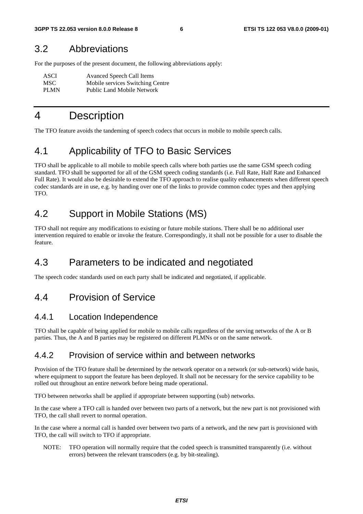### 3.2 Abbreviations

For the purposes of the present document, the following abbreviations apply:

| ASCI        | <b>Avanced Speech Call Items</b>  |
|-------------|-----------------------------------|
| MSC.        | Mobile services Switching Centre  |
| <b>PLMN</b> | <b>Public Land Mobile Network</b> |

### 4 Description

The TFO feature avoids the tandeming of speech codecs that occurs in mobile to mobile speech calls.

### 4.1 Applicability of TFO to Basic Services

TFO shall be applicable to all mobile to mobile speech calls where both parties use the same GSM speech coding standard. TFO shall be supported for all of the GSM speech coding standards (i.e. Full Rate, Half Rate and Enhanced Full Rate). It would also be desirable to extend the TFO approach to realise quality enhancements when different speech codec standards are in use, e.g. by handing over one of the links to provide common codec types and then applying TFO.

### 4.2 Support in Mobile Stations (MS)

TFO shall not require any modifications to existing or future mobile stations. There shall be no additional user intervention required to enable or invoke the feature. Correspondingly, it shall not be possible for a user to disable the feature.

### 4.3 Parameters to be indicated and negotiated

The speech codec standards used on each party shall be indicated and negotiated, if applicable.

### 4.4 Provision of Service

#### 4.4.1 Location Independence

TFO shall be capable of being applied for mobile to mobile calls regardless of the serving networks of the A or B parties. Thus, the A and B parties may be registered on different PLMNs or on the same network.

#### 4.4.2 Provision of service within and between networks

Provision of the TFO feature shall be determined by the network operator on a network (or sub-network) wide basis, where equipment to support the feature has been deployed. It shall not be necessary for the service capability to be rolled out throughout an entire network before being made operational.

TFO between networks shall be applied if appropriate between supporting (sub) networks.

In the case where a TFO call is handed over between two parts of a network, but the new part is not provisioned with TFO, the call shall revert to normal operation.

In the case where a normal call is handed over between two parts of a network, and the new part is provisioned with TFO, the call will switch to TFO if appropriate.

NOTE: TFO operation will normally require that the coded speech is transmitted transparently (i.e. without errors) between the relevant transcoders (e.g. by bit-stealing).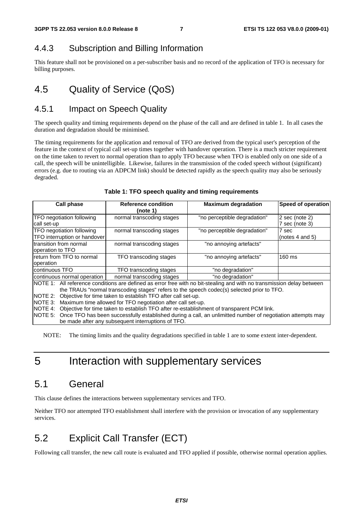#### 4.4.3 Subscription and Billing Information

This feature shall not be provisioned on a per-subscriber basis and no record of the application of TFO is necessary for billing purposes.

### 4.5 Quality of Service (QoS)

#### 4.5.1 Impact on Speech Quality

The speech quality and timing requirements depend on the phase of the call and are defined in table 1. In all cases the duration and degradation should be minimised.

The timing requirements for the application and removal of TFO are derived from the typical user's perception of the feature in the context of typical call set-up times together with handover operation. There is a much stricter requirement on the time taken to revert to normal operation than to apply TFO because when TFO is enabled only on one side of a call, the speech will be unintelligible. Likewise, failures in the transmission of the coded speech without (significant) errors (e.g. due to routing via an ADPCM link) should be detected rapidly as the speech quality may also be seriously degraded.

| Call phase                                                                                                                                                                                                                                                                                                                                                                | <b>Reference condition</b><br>(note 1) | <b>Maximum degradation</b>   | Speed of operation                 |  |  |  |  |  |
|---------------------------------------------------------------------------------------------------------------------------------------------------------------------------------------------------------------------------------------------------------------------------------------------------------------------------------------------------------------------------|----------------------------------------|------------------------------|------------------------------------|--|--|--|--|--|
| TFO negotiation following<br>call set-up                                                                                                                                                                                                                                                                                                                                  | normal transcoding stages              | "no perceptible degradation" | $2$ sec (note 2)<br>7 sec (note 3) |  |  |  |  |  |
| TFO negotiation following<br>TFO interruption or handover                                                                                                                                                                                                                                                                                                                 | normal transcoding stages              | "no perceptible degradation" | 7 sec<br>(notes $4$ and $5$ )      |  |  |  |  |  |
| transition from normal<br>operation to TFO                                                                                                                                                                                                                                                                                                                                | normal transcoding stages              | "no annoying artefacts"      |                                    |  |  |  |  |  |
| return from TFO to normal<br>operation                                                                                                                                                                                                                                                                                                                                    | TFO transcoding stages                 | "no annoying artefacts"      | 160 ms                             |  |  |  |  |  |
| continuous TFO                                                                                                                                                                                                                                                                                                                                                            | TFO transcoding stages                 | "no degradation"             |                                    |  |  |  |  |  |
| continuous normal operation                                                                                                                                                                                                                                                                                                                                               | normal transcoding stages              | "no degradation"             |                                    |  |  |  |  |  |
| NOTE 1: All reference conditions are defined as error free with no bit-stealing and with no transmission delay between<br>the TRAUs "normal transcoding stages" refers to the speech codec(s) selected prior to TFO.                                                                                                                                                      |                                        |                              |                                    |  |  |  |  |  |
| Objective for time taken to establish TFO after call set-up.<br>NOTE 2:<br>NOTE 3: Maximum time allowed for TFO negotiation after call set-up.<br>NOTE 4: Objective for time taken to establish TFO after re-establishment of transparent PCM link.<br>NOTE 5: Once TFO has been successfully established during a call, an unlimitted number of negotiation attempts may |                                        |                              |                                    |  |  |  |  |  |
| be made after any subsequent interruptions of TFO.                                                                                                                                                                                                                                                                                                                        |                                        |                              |                                    |  |  |  |  |  |

#### **Table 1: TFO speech quality and timing requirements**

NOTE: The timing limits and the quality degradations specified in table 1 are to some extent inter-dependent.

### 5 Interaction with supplementary services

#### 5.1 General

This clause defines the interactions between supplementary services and TFO.

Neither TFO nor attempted TFO establishment shall interfere with the provision or invocation of any supplementary services.

### 5.2 Explicit Call Transfer (ECT)

Following call transfer, the new call route is evaluated and TFO applied if possible, otherwise normal operation applies.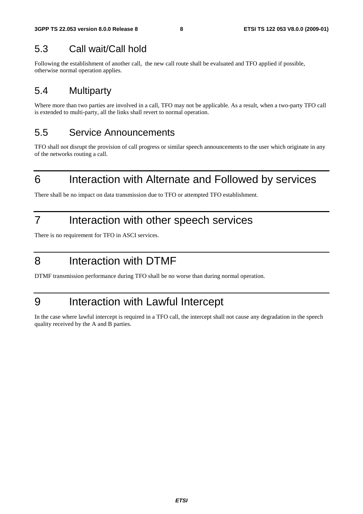### 5.3 Call wait/Call hold

Following the establishment of another call, the new call route shall be evaluated and TFO applied if possible, otherwise normal operation applies.

### 5.4 Multiparty

Where more than two parties are involved in a call, TFO may not be applicable. As a result, when a two-party TFO call is extended to multi-party, all the links shall revert to normal operation.

### 5.5 Service Announcements

TFO shall not disrupt the provision of call progress or similar speech announcements to the user which originate in any of the networks routing a call.

# 6 Interaction with Alternate and Followed by services

There shall be no impact on data transmission due to TFO or attempted TFO establishment.

### 7 Interaction with other speech services

There is no requirement for TFO in ASCI services.

### 8 Interaction with DTMF

DTMF transmission performance during TFO shall be no worse than during normal operation.

### 9 Interaction with Lawful Intercept

In the case where lawful intercept is required in a TFO call, the intercept shall not cause any degradation in the speech quality received by the A and B parties.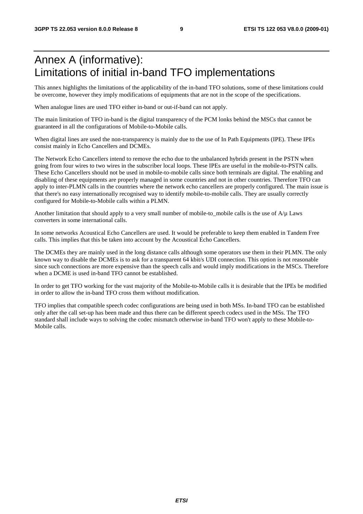### Annex A (informative): Limitations of initial in-band TFO implementations

This annex highlights the limitations of the applicability of the in-band TFO solutions, some of these limitations could be overcome, however they imply modifications of equipments that are not in the scope of the specifications.

When analogue lines are used TFO either in-band or out-if-band can not apply.

The main limitation of TFO in-band is the digital transparency of the PCM lonks behind the MSCs that cannot be guaranteed in all the configurations of Mobile-to-Mobile calls.

When digital lines are used the non-transparency is mainly due to the use of In Path Equipments (IPE). These IPEs consist mainly in Echo Cancellers and DCMEs.

The Network Echo Cancellers intend to remove the echo due to the unbalanced hybrids present in the PSTN when going from four wires to two wires in the subscriber local loops. These IPEs are useful in the mobile-to-PSTN calls. These Echo Cancellers should not be used in mobile-to-mobile calls since both terminals are digital. The enabling and disabling of these equipments are properly managed in some countries and not in other countries. Therefore TFO can apply to inter-PLMN calls in the countries where the network echo cancellers are properly configured. The main issue is that there's no easy internationally recognised way to identify mobile-to-mobile calls. They are usually correctly configured for Mobile-to-Mobile calls within a PLMN.

Another limitation that should apply to a very small number of mobile-to-mobile calls is the use of  $A/\mu$  Laws converters in some international calls.

In some networks Acoustical Echo Cancellers are used. It would be preferable to keep them enabled in Tandem Free calls. This implies that this be taken into account by the Acoustical Echo Cancellers.

The DCMEs they are mainly used in the long distance calls although some operators use them in their PLMN. The only known way to disable the DCMEs is to ask for a transparent 64 kbit/s UDI connection. This option is not reasonable since such connections are more expensive than the speech calls and would imply modifications in the MSCs. Therefore when a DCME is used in-band TFO cannot be established.

In order to get TFO working for the vast majority of the Mobile-to-Mobile calls it is desirable that the IPEs be modified in order to allow the in-band TFO cross them without modification.

TFO implies that compatible speech codec configurations are being used in both MSs. In-band TFO can be established only after the call set-up has been made and thus there can be different speech codecs used in the MSs. The TFO standard shall include ways to solving the codec mismatch otherwise in-band TFO won't apply to these Mobile-to-Mobile calls.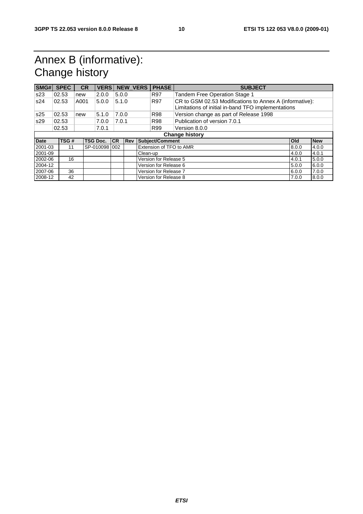# Annex B (informative): Change history

| SMG#        | <b>SPEC</b>           | <b>CR</b> | <b>VERS</b>     |           | <b>NEW_VERS</b> |                                | <b>PHASE</b>            | <b>SUBJECT</b>                                                                                                |            |            |
|-------------|-----------------------|-----------|-----------------|-----------|-----------------|--------------------------------|-------------------------|---------------------------------------------------------------------------------------------------------------|------------|------------|
| s23         | 02.53                 | new       | 2.0.0           | 5.0.0     |                 |                                | <b>R97</b>              | Tandem Free Operation Stage 1                                                                                 |            |            |
| s24         | 02.53                 | A001      | 5.0.0           | 5.1.0     |                 |                                | R97                     | CR to GSM 02.53 Modifications to Annex A (informative):<br>Limitations of initial in-band TFO implementations |            |            |
| s25         | 02.53                 | new       | 5.1.0           | 7.0.0     |                 |                                | <b>R98</b>              | Version change as part of Release 1998                                                                        |            |            |
| s29         | 02.53                 |           | 7.0.0           | 7.0.1     |                 |                                | <b>R98</b>              | Publication of version 7.0.1                                                                                  |            |            |
|             | 02.53                 |           | 7.0.1           |           |                 |                                | R99                     | Version 8.0.0                                                                                                 |            |            |
|             | <b>Change history</b> |           |                 |           |                 |                                |                         |                                                                                                               |            |            |
| <b>Date</b> | TSG#                  |           | <b>TSG Doc.</b> | <b>CR</b> | <b>Rev</b>      |                                | Subject/Comment         |                                                                                                               | <b>Old</b> | <b>New</b> |
| 2001-03     | 11                    |           | SP-0100981002   |           |                 |                                | Extension of TFO to AMR |                                                                                                               | 8.0.0      | 4.0.0      |
| 2001-09     |                       |           |                 |           |                 | Clean-up                       |                         |                                                                                                               | 4.0.0      | 4.0.1      |
| 2002-06     | 16                    |           |                 |           |                 |                                | Version for Release 5   |                                                                                                               | 4.0.1      | 5.0.0      |
| 2004-12     |                       |           |                 |           |                 |                                | Version for Release 6   |                                                                                                               | 5.0.0      | 6.0.0      |
| 2007-06     | 36                    |           |                 |           |                 |                                | Version for Release 7   |                                                                                                               | 6.0.0      | 7.0.0      |
| 2008-12     | 42                    |           |                 |           |                 | Version for Release 8<br>7.0.0 |                         |                                                                                                               | 8.0.0      |            |